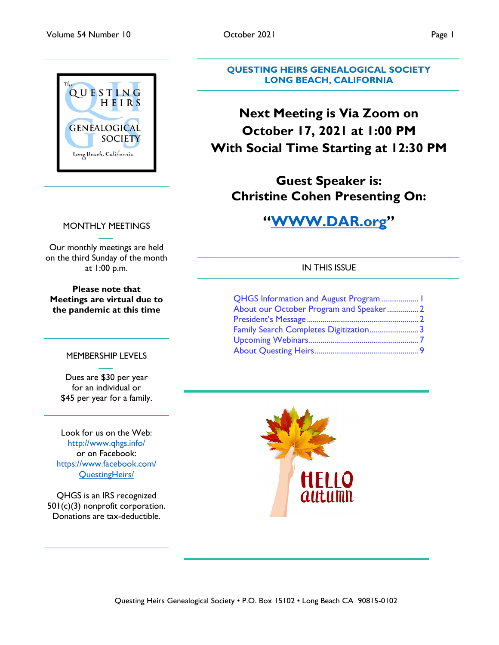

## MONTHLY MEETINGS

Our monthly meetings are held on the third Sunday of the month at 1:00 p.m.

**Please note that Meetings are virtual due to the pandemic at this time**

#### MEMBERSHIP LEVELS

Dues are \$30 per year for an individual or \$45 per year for a family.

Look for us on the Web: <http://www.qhgs.info/> or on Facebook: [https://www.facebook.com/](https://www.facebook.com/%20QuestingHeirs/)  [QuestingHeirs/](https://www.facebook.com/%20QuestingHeirs/)

QHGS is an IRS recognized 501(c)(3) nonprofit corporation. Donations are tax-deductible.

Questing Heirs Genealogical Society • P.O. Box 15102 • Long Beach CA 90815-0102

**QUESTING HEIRS GENEALOGICAL SOCIETY**

**LONG BEACH, CALIFORNIA**

# **Next Meeting is Via Zoom on October 17, 2021 at 1:00 PM With Social Time Starting at 12:30 PM**

**Guest Speaker is: Christine Cohen Presenting On:**

# **["WWW.DAR.org"](http://www.dar.org/)**

### IN THIS ISSUE

| QHGS Information and August Program  1  |  |
|-----------------------------------------|--|
| About our October Program and Speaker 2 |  |
|                                         |  |
| Family Search Completes Digitization 3  |  |
|                                         |  |
|                                         |  |